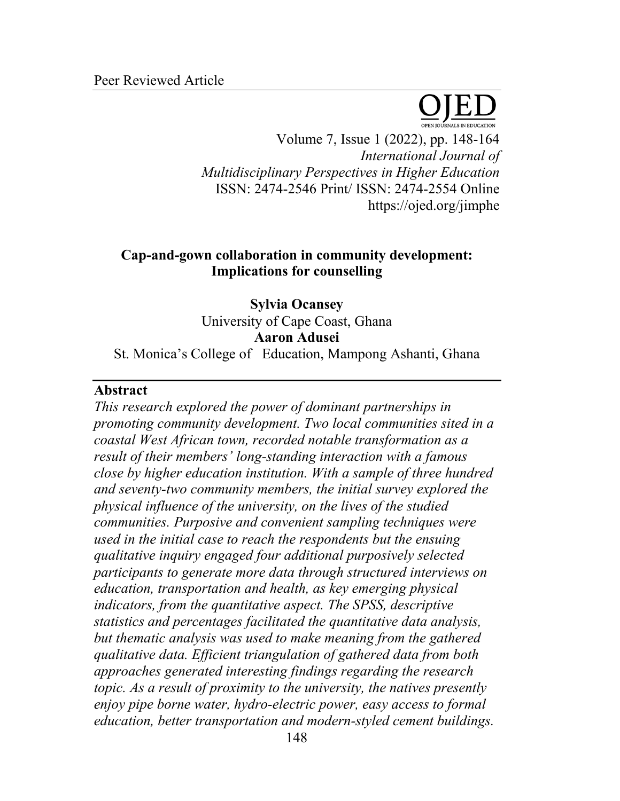

Volume 7, Issue 1 (2022), pp. 148-164 *International Journal of Multidisciplinary Perspectives in Higher Education* ISSN: 2474-2546 Print/ ISSN: 2474-2554 Online https://ojed.org/jimphe

# **Cap-and-gown collaboration in community development: Implications for counselling**

**Sylvia Ocansey** University of Cape Coast, Ghana **Aaron Adusei** St. Monica's College of Education, Mampong Ashanti, Ghana

### **Abstract**

*This research explored the power of dominant partnerships in promoting community development. Two local communities sited in a coastal West African town, recorded notable transformation as a result of their members' long-standing interaction with a famous close by higher education institution. With a sample of three hundred and seventy-two community members, the initial survey explored the physical influence of the university, on the lives of the studied communities. Purposive and convenient sampling techniques were used in the initial case to reach the respondents but the ensuing qualitative inquiry engaged four additional purposively selected participants to generate more data through structured interviews on education, transportation and health, as key emerging physical indicators, from the quantitative aspect. The SPSS, descriptive statistics and percentages facilitated the quantitative data analysis, but thematic analysis was used to make meaning from the gathered qualitative data. Efficient triangulation of gathered data from both approaches generated interesting findings regarding the research topic. As a result of proximity to the university, the natives presently enjoy pipe borne water, hydro-electric power, easy access to formal education, better transportation and modern-styled cement buildings.*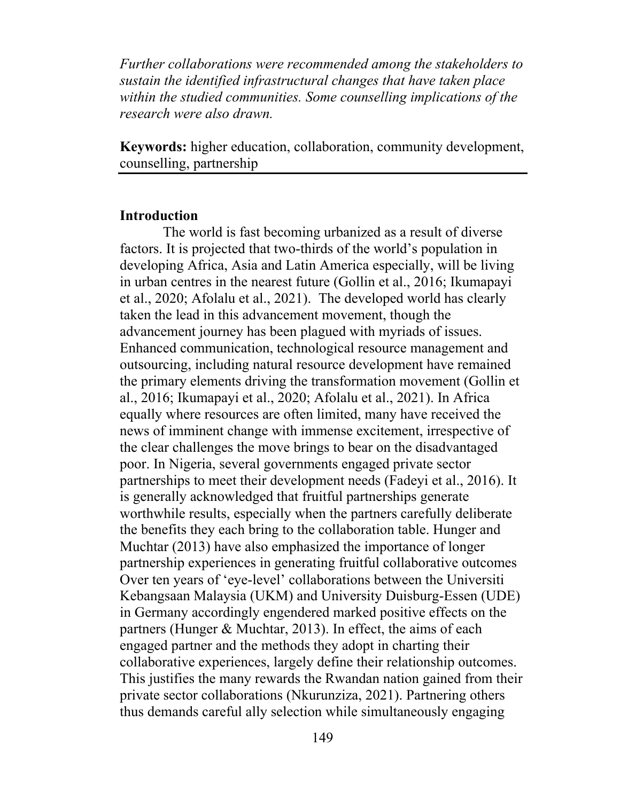*Further collaborations were recommended among the stakeholders to sustain the identified infrastructural changes that have taken place within the studied communities. Some counselling implications of the research were also drawn.* 

**Keywords:** higher education, collaboration, community development, counselling, partnership

#### **Introduction**

The world is fast becoming urbanized as a result of diverse factors. It is projected that two-thirds of the world's population in developing Africa, Asia and Latin America especially, will be living in urban centres in the nearest future (Gollin et al., 2016; Ikumapayi et al., 2020; Afolalu et al., 2021). The developed world has clearly taken the lead in this advancement movement, though the advancement journey has been plagued with myriads of issues. Enhanced communication, technological resource management and outsourcing, including natural resource development have remained the primary elements driving the transformation movement (Gollin et al., 2016; Ikumapayi et al., 2020; Afolalu et al., 2021). In Africa equally where resources are often limited, many have received the news of imminent change with immense excitement, irrespective of the clear challenges the move brings to bear on the disadvantaged poor. In Nigeria, several governments engaged private sector partnerships to meet their development needs (Fadeyi et al., 2016). It is generally acknowledged that fruitful partnerships generate worthwhile results, especially when the partners carefully deliberate the benefits they each bring to the collaboration table. Hunger and Muchtar (2013) have also emphasized the importance of longer partnership experiences in generating fruitful collaborative outcomes Over ten years of 'eye-level' collaborations between the Universiti Kebangsaan Malaysia (UKM) and University Duisburg-Essen (UDE) in Germany accordingly engendered marked positive effects on the partners (Hunger & Muchtar, 2013). In effect, the aims of each engaged partner and the methods they adopt in charting their collaborative experiences, largely define their relationship outcomes. This justifies the many rewards the Rwandan nation gained from their private sector collaborations (Nkurunziza, 2021). Partnering others thus demands careful ally selection while simultaneously engaging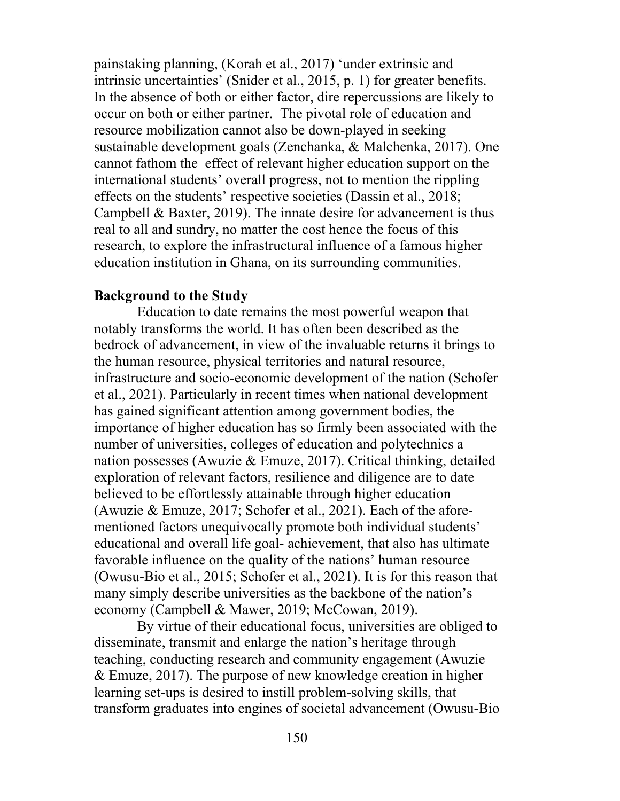painstaking planning, (Korah et al., 2017) 'under extrinsic and intrinsic uncertainties' (Snider et al., 2015, p. 1) for greater benefits. In the absence of both or either factor, dire repercussions are likely to occur on both or either partner. The pivotal role of education and resource mobilization cannot also be down-played in seeking sustainable development goals (Zenchanka, & Malchenka, 2017). One cannot fathom the effect of relevant higher education support on the international students' overall progress, not to mention the rippling effects on the students' respective societies (Dassin et al., 2018; Campbell & Baxter, 2019). The innate desire for advancement is thus real to all and sundry, no matter the cost hence the focus of this research, to explore the infrastructural influence of a famous higher education institution in Ghana, on its surrounding communities.

### **Background to the Study**

Education to date remains the most powerful weapon that notably transforms the world. It has often been described as the bedrock of advancement, in view of the invaluable returns it brings to the human resource, physical territories and natural resource, infrastructure and socio-economic development of the nation (Schofer et al., 2021). Particularly in recent times when national development has gained significant attention among government bodies, the importance of higher education has so firmly been associated with the number of universities, colleges of education and polytechnics a nation possesses (Awuzie & Emuze, 2017). Critical thinking, detailed exploration of relevant factors, resilience and diligence are to date believed to be effortlessly attainable through higher education (Awuzie & Emuze, 2017; Schofer et al., 2021). Each of the aforementioned factors unequivocally promote both individual students' educational and overall life goal- achievement, that also has ultimate favorable influence on the quality of the nations' human resource (Owusu-Bio et al., 2015; Schofer et al., 2021). It is for this reason that many simply describe universities as the backbone of the nation's economy (Campbell & Mawer, 2019; McCowan, 2019).

By virtue of their educational focus, universities are obliged to disseminate, transmit and enlarge the nation's heritage through teaching, conducting research and community engagement (Awuzie & Emuze, 2017). The purpose of new knowledge creation in higher learning set-ups is desired to instill problem-solving skills, that transform graduates into engines of societal advancement (Owusu-Bio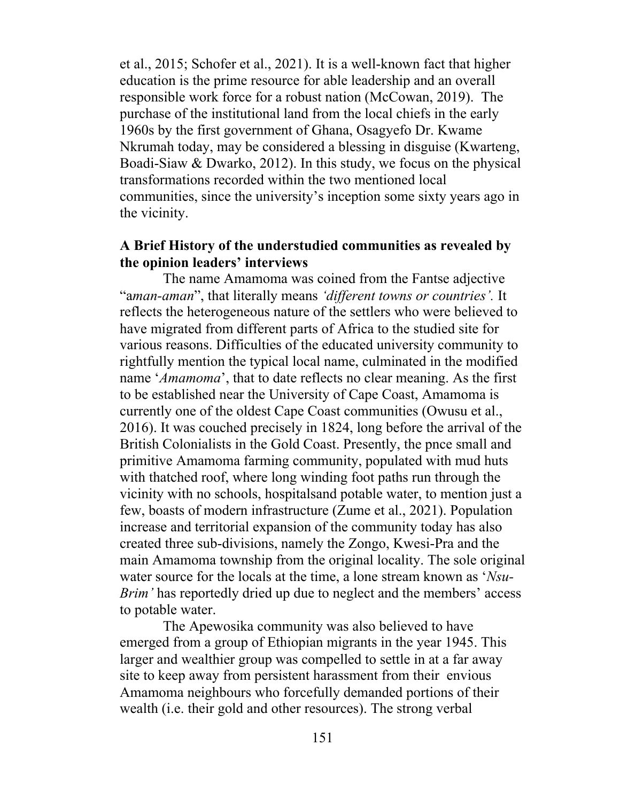et al., 2015; Schofer et al., 2021). It is a well-known fact that higher education is the prime resource for able leadership and an overall responsible work force for a robust nation (McCowan, 2019). The purchase of the institutional land from the local chiefs in the early 1960s by the first government of Ghana, Osagyefo Dr. Kwame Nkrumah today, may be considered a blessing in disguise (Kwarteng, Boadi-Siaw & Dwarko, 2012). In this study, we focus on the physical transformations recorded within the two mentioned local communities, since the university's inception some sixty years ago in the vicinity.

# **A Brief History of the understudied communities as revealed by the opinion leaders' interviews**

The name Amamoma was coined from the Fantse adjective "a*man-aman*", that literally means *'different towns or countries'.* It reflects the heterogeneous nature of the settlers who were believed to have migrated from different parts of Africa to the studied site for various reasons. Difficulties of the educated university community to rightfully mention the typical local name, culminated in the modified name '*Amamoma*', that to date reflects no clear meaning. As the first to be established near the University of Cape Coast, Amamoma is currently one of the oldest Cape Coast communities (Owusu et al., 2016). It was couched precisely in 1824, long before the arrival of the British Colonialists in the Gold Coast. Presently, the pnce small and primitive Amamoma farming community, populated with mud huts with thatched roof, where long winding foot paths run through the vicinity with no schools, hospitalsand potable water, to mention just a few, boasts of modern infrastructure (Zume et al., 2021). Population increase and territorial expansion of the community today has also created three sub-divisions, namely the Zongo, Kwesi-Pra and the main Amamoma township from the original locality. The sole original water source for the locals at the time, a lone stream known as '*Nsu-Brim'* has reportedly dried up due to neglect and the members' access to potable water.

The Apewosika community was also believed to have emerged from a group of Ethiopian migrants in the year 1945. This larger and wealthier group was compelled to settle in at a far away site to keep away from persistent harassment from their envious Amamoma neighbours who forcefully demanded portions of their wealth (i.e. their gold and other resources). The strong verbal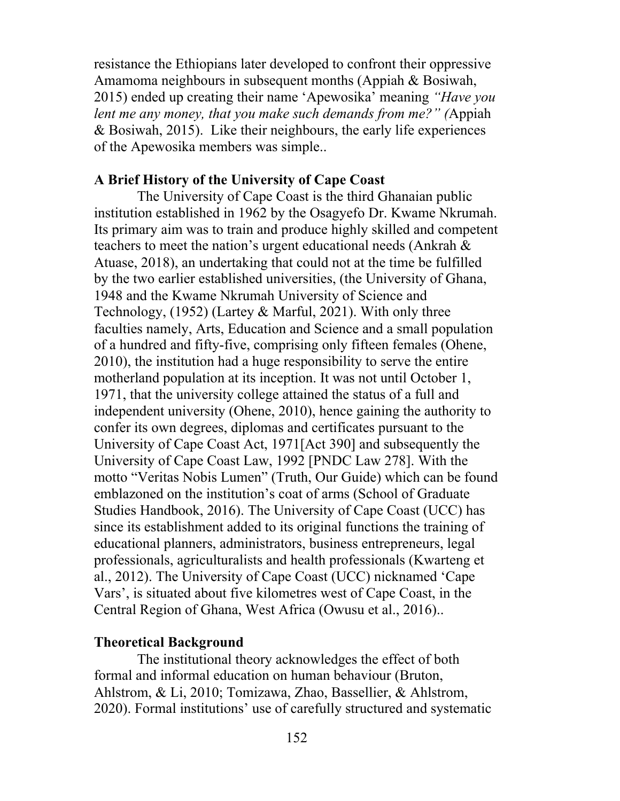resistance the Ethiopians later developed to confront their oppressive Amamoma neighbours in subsequent months (Appiah & Bosiwah, 2015) ended up creating their name 'Apewosika' meaning *"Have you lent me any money, that you make such demands from me?" (*Appiah & Bosiwah, 2015). Like their neighbours, the early life experiences of the Apewosika members was simple..

### **A Brief History of the University of Cape Coast**

The University of Cape Coast is the third Ghanaian public institution established in 1962 by the Osagyefo Dr. Kwame Nkrumah. Its primary aim was to train and produce highly skilled and competent teachers to meet the nation's urgent educational needs (Ankrah & Atuase, 2018), an undertaking that could not at the time be fulfilled by the two earlier established universities, (the University of Ghana, 1948 and the Kwame Nkrumah University of Science and Technology, (1952) (Lartey & Marful, 2021). With only three faculties namely, Arts, Education and Science and a small population of a hundred and fifty-five, comprising only fifteen females (Ohene, 2010), the institution had a huge responsibility to serve the entire motherland population at its inception. It was not until October 1, 1971, that the university college attained the status of a full and independent university (Ohene, 2010), hence gaining the authority to confer its own degrees, diplomas and certificates pursuant to the University of Cape Coast Act, 1971[Act 390] and subsequently the University of Cape Coast Law, 1992 [PNDC Law 278]. With the motto "Veritas Nobis Lumen" (Truth, Our Guide) which can be found emblazoned on the institution's coat of arms (School of Graduate Studies Handbook, 2016). The University of Cape Coast (UCC) has since its establishment added to its original functions the training of educational planners, administrators, business entrepreneurs, legal professionals, agriculturalists and health professionals (Kwarteng et al., 2012). The University of Cape Coast (UCC) nicknamed 'Cape Vars', is situated about five kilometres west of Cape Coast, in the Central Region of Ghana, West Africa (Owusu et al., 2016)..

### **Theoretical Background**

The institutional theory acknowledges the effect of both formal and informal education on human behaviour (Bruton, Ahlstrom, & Li, 2010; Tomizawa, Zhao, Bassellier, & Ahlstrom, 2020). Formal institutions' use of carefully structured and systematic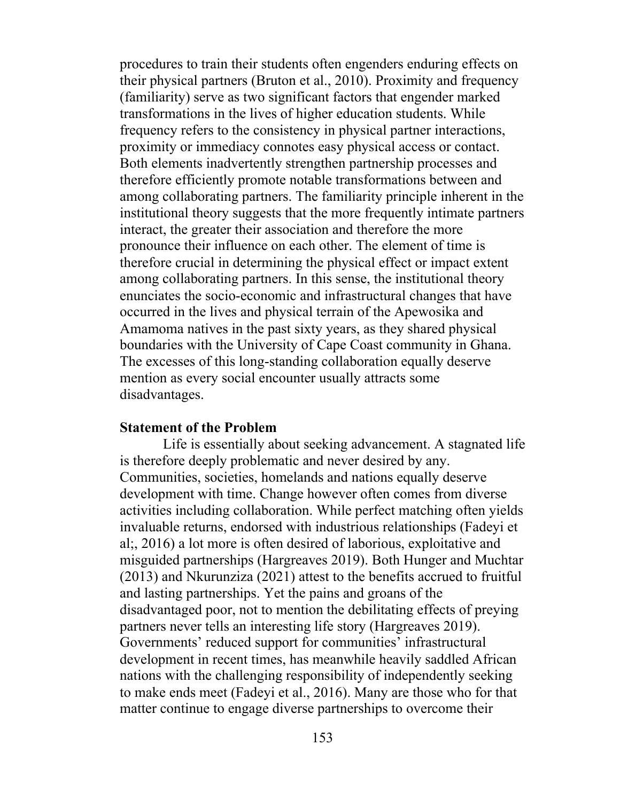procedures to train their students often engenders enduring effects on their physical partners (Bruton et al., 2010). Proximity and frequency (familiarity) serve as two significant factors that engender marked transformations in the lives of higher education students. While frequency refers to the consistency in physical partner interactions, proximity or immediacy connotes easy physical access or contact. Both elements inadvertently strengthen partnership processes and therefore efficiently promote notable transformations between and among collaborating partners. The familiarity principle inherent in the institutional theory suggests that the more frequently intimate partners interact, the greater their association and therefore the more pronounce their influence on each other. The element of time is therefore crucial in determining the physical effect or impact extent among collaborating partners. In this sense, the institutional theory enunciates the socio-economic and infrastructural changes that have occurred in the lives and physical terrain of the Apewosika and Amamoma natives in the past sixty years, as they shared physical boundaries with the University of Cape Coast community in Ghana. The excesses of this long-standing collaboration equally deserve mention as every social encounter usually attracts some disadvantages.

#### **Statement of the Problem**

Life is essentially about seeking advancement. A stagnated life is therefore deeply problematic and never desired by any. Communities, societies, homelands and nations equally deserve development with time. Change however often comes from diverse activities including collaboration. While perfect matching often yields invaluable returns, endorsed with industrious relationships (Fadeyi et al;, 2016) a lot more is often desired of laborious, exploitative and misguided partnerships (Hargreaves 2019). Both Hunger and Muchtar (2013) and Nkurunziza (2021) attest to the benefits accrued to fruitful and lasting partnerships. Yet the pains and groans of the disadvantaged poor, not to mention the debilitating effects of preying partners never tells an interesting life story (Hargreaves 2019). Governments' reduced support for communities' infrastructural development in recent times, has meanwhile heavily saddled African nations with the challenging responsibility of independently seeking to make ends meet (Fadeyi et al., 2016). Many are those who for that matter continue to engage diverse partnerships to overcome their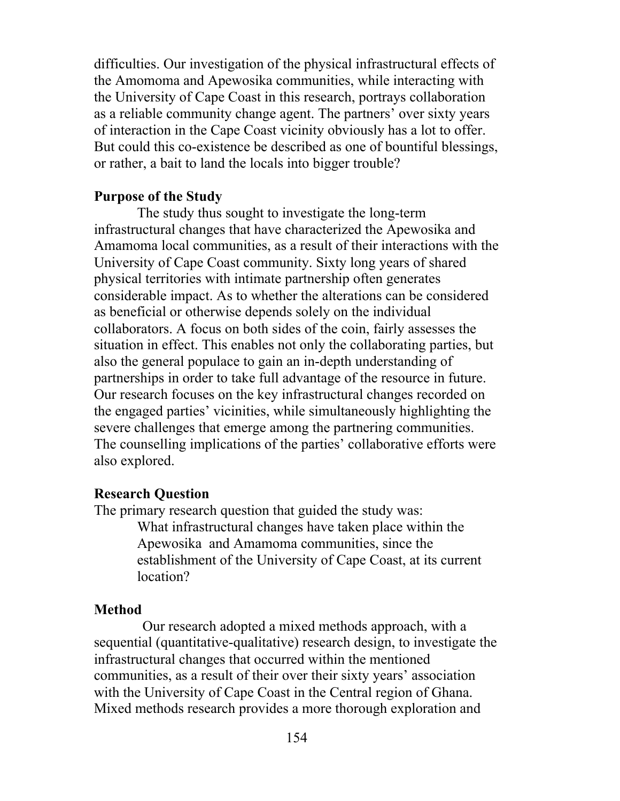difficulties. Our investigation of the physical infrastructural effects of the Amomoma and Apewosika communities, while interacting with the University of Cape Coast in this research, portrays collaboration as a reliable community change agent. The partners' over sixty years of interaction in the Cape Coast vicinity obviously has a lot to offer. But could this co-existence be described as one of bountiful blessings, or rather, a bait to land the locals into bigger trouble?

## **Purpose of the Study**

The study thus sought to investigate the long-term infrastructural changes that have characterized the Apewosika and Amamoma local communities, as a result of their interactions with the University of Cape Coast community. Sixty long years of shared physical territories with intimate partnership often generates considerable impact. As to whether the alterations can be considered as beneficial or otherwise depends solely on the individual collaborators. A focus on both sides of the coin, fairly assesses the situation in effect. This enables not only the collaborating parties, but also the general populace to gain an in-depth understanding of partnerships in order to take full advantage of the resource in future. Our research focuses on the key infrastructural changes recorded on the engaged parties' vicinities, while simultaneously highlighting the severe challenges that emerge among the partnering communities. The counselling implications of the parties' collaborative efforts were also explored.

### **Research Question**

The primary research question that guided the study was:

What infrastructural changes have taken place within the Apewosika and Amamoma communities, since the establishment of the University of Cape Coast, at its current location?

## **Method**

Our research adopted a mixed methods approach, with a sequential (quantitative-qualitative) research design, to investigate the infrastructural changes that occurred within the mentioned communities, as a result of their over their sixty years' association with the University of Cape Coast in the Central region of Ghana. Mixed methods research provides a more thorough exploration and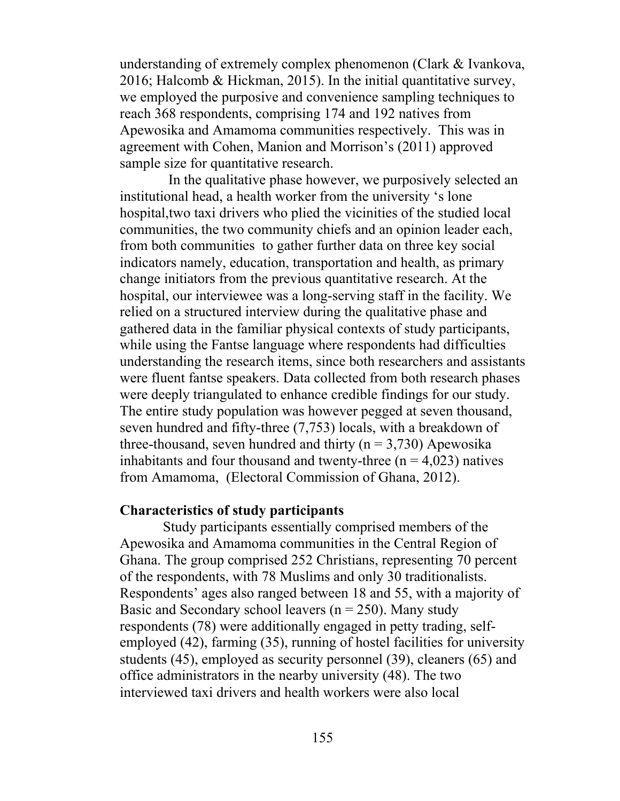understanding of extremely complex phenomenon (Clark & Ivankova, 2016; Halcomb & Hickman, 2015). In the initial quantitative survey, we employed the purposive and convenience sampling techniques to reach 368 respondents, comprising 174 and 192 natives from Apewosika and Amamoma communities respectively. This was in agreement with Cohen, Manion and Morrison's (2011) approved sample size for quantitative research.

In the qualitative phase however, we purposively selected an institutional head, a health worker from the university 's lone hospital,two taxi drivers who plied the vicinities of the studied local communities, the two community chiefs and an opinion leader each, from both communities to gather further data on three key social indicators namely, education, transportation and health, as primary change initiators from the previous quantitative research. At the hospital, our interviewee was a long-serving staff in the facility. We relied on a structured interview during the qualitative phase and gathered data in the familiar physical contexts of study participants, while using the Fantse language where respondents had difficulties understanding the research items, since both researchers and assistants were fluent fantse speakers. Data collected from both research phases were deeply triangulated to enhance credible findings for our study. The entire study population was however pegged at seven thousand, seven hundred and fifty-three (7,753) locals, with a breakdown of three-thousand, seven hundred and thirty ( $n = 3,730$ ) Apewosika inhabitants and four thousand and twenty-three  $(n = 4.023)$  natives from Amamoma, (Electoral Commission of Ghana, 2012).

#### **Characteristics of study participants**

Study participants essentially comprised members of the Apewosika and Amamoma communities in the Central Region of Ghana. The group comprised 252 Christians, representing 70 percent of the respondents, with 78 Muslims and only 30 traditionalists. Respondents' ages also ranged between 18 and 55, with a majority of Basic and Secondary school leavers ( $n = 250$ ). Many study respondents (78) were additionally engaged in petty trading, selfemployed (42), farming (35), running of hostel facilities for university students (45), employed as security personnel (39), cleaners (65) and office administrators in the nearby university (48). The two interviewed taxi drivers and health workers were also local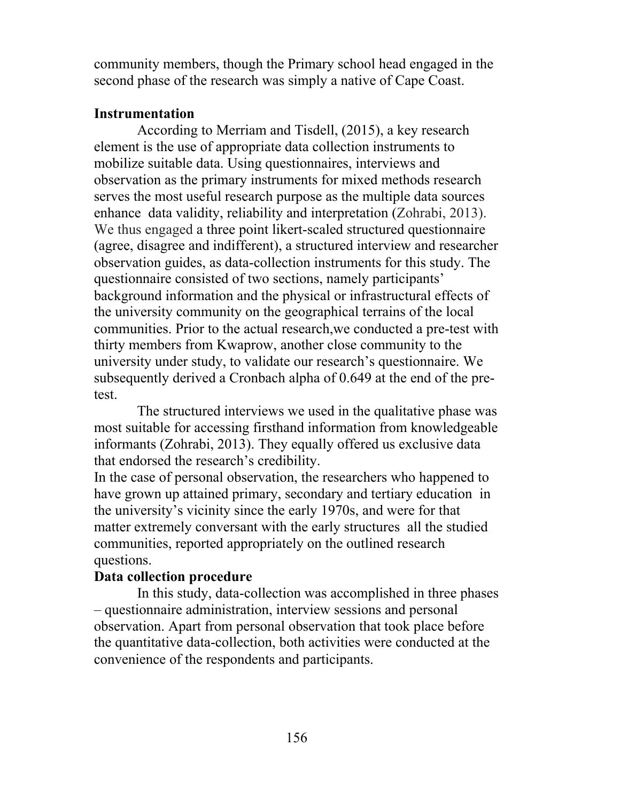community members, though the Primary school head engaged in the second phase of the research was simply a native of Cape Coast.

# **Instrumentation**

According to Merriam and Tisdell, (2015), a key research element is the use of appropriate data collection instruments to mobilize suitable data. Using questionnaires, interviews and observation as the primary instruments for mixed methods research serves the most useful research purpose as the multiple data sources enhance data validity, reliability and interpretation (Zohrabi, 2013). We thus engaged a three point likert-scaled structured questionnaire (agree, disagree and indifferent), a structured interview and researcher observation guides, as data-collection instruments for this study. The questionnaire consisted of two sections, namely participants' background information and the physical or infrastructural effects of the university community on the geographical terrains of the local communities. Prior to the actual research,we conducted a pre-test with thirty members from Kwaprow, another close community to the university under study, to validate our research's questionnaire. We subsequently derived a Cronbach alpha of 0.649 at the end of the pretest.

The structured interviews we used in the qualitative phase was most suitable for accessing firsthand information from knowledgeable informants (Zohrabi, 2013). They equally offered us exclusive data that endorsed the research's credibility.

In the case of personal observation, the researchers who happened to have grown up attained primary, secondary and tertiary education in the university's vicinity since the early 1970s, and were for that matter extremely conversant with the early structures all the studied communities, reported appropriately on the outlined research questions.

# **Data collection procedure**

In this study, data-collection was accomplished in three phases – questionnaire administration, interview sessions and personal observation. Apart from personal observation that took place before the quantitative data-collection, both activities were conducted at the convenience of the respondents and participants.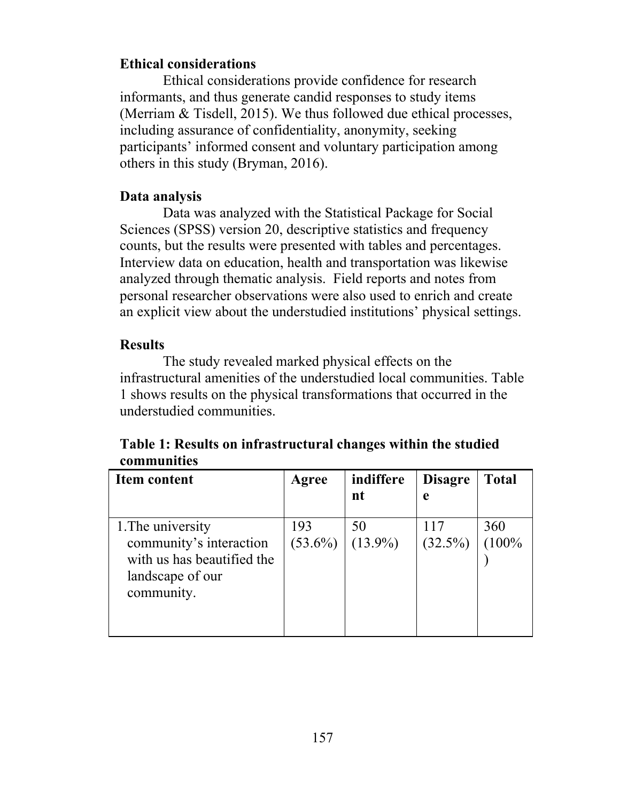# **Ethical considerations**

Ethical considerations provide confidence for research informants, and thus generate candid responses to study items (Merriam & Tisdell, 2015). We thus followed due ethical processes, including assurance of confidentiality, anonymity, seeking participants' informed consent and voluntary participation among others in this study (Bryman, 2016).

# **Data analysis**

Data was analyzed with the Statistical Package for Social Sciences (SPSS) version 20, descriptive statistics and frequency counts, but the results were presented with tables and percentages. Interview data on education, health and transportation was likewise analyzed through thematic analysis. Field reports and notes from personal researcher observations were also used to enrich and create an explicit view about the understudied institutions' physical settings.

# **Results**

The study revealed marked physical effects on the infrastructural amenities of the understudied local communities. Table 1 shows results on the physical transformations that occurred in the understudied communities.

| Table 1: Results on infrastructural changes within the studied |
|----------------------------------------------------------------|
| communities                                                    |

| Item content                                                                                                 | Agree             | indiffere        | <b>Disagre</b> | <b>Total</b> |
|--------------------------------------------------------------------------------------------------------------|-------------------|------------------|----------------|--------------|
|                                                                                                              |                   | nt               | e              |              |
| 1. The university<br>community's interaction<br>with us has beautified the<br>landscape of our<br>community. | 193<br>$(53.6\%)$ | 50<br>$(13.9\%)$ | $(32.5\%)$     | 360<br>(100% |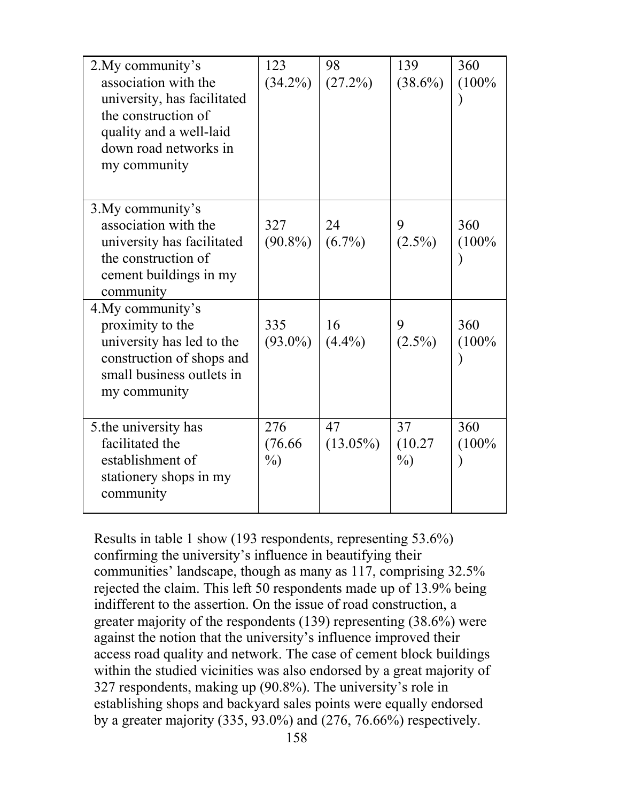| 2. My community's<br>association with the<br>university, has facilitated<br>the construction of<br>quality and a well-laid<br>down road networks in<br>my community | 123<br>$(34.2\%)$      | 98<br>(27.2%)     | 139<br>$(38.6\%)$       | 360<br>(100% |
|---------------------------------------------------------------------------------------------------------------------------------------------------------------------|------------------------|-------------------|-------------------------|--------------|
| 3. My community's<br>association with the<br>university has facilitated<br>the construction of<br>cement buildings in my<br>community                               | 327<br>$(90.8\%)$      | 24<br>$(6.7\%)$   | 9<br>$(2.5\%)$          | 360<br>(100% |
| 4. My community's<br>proximity to the<br>university has led to the<br>construction of shops and<br>small business outlets in<br>my community                        | 335<br>$(93.0\%)$      | 16<br>$(4.4\%)$   | 9<br>$(2.5\%)$          | 360<br>(100% |
| 5.the university has<br>facilitated the<br>establishment of<br>stationery shops in my<br>community                                                                  | 276<br>(76.66)<br>$\%$ | 47<br>$(13.05\%)$ | 37<br>(10.27)<br>$\%$ ) | 360<br>(100% |

Results in table 1 show (193 respondents, representing 53.6%) confirming the university's influence in beautifying their communities' landscape, though as many as 117, comprising 32.5% rejected the claim. This left 50 respondents made up of 13.9% being indifferent to the assertion. On the issue of road construction, a greater majority of the respondents (139) representing (38.6%) were against the notion that the university's influence improved their access road quality and network. The case of cement block buildings within the studied vicinities was also endorsed by a great majority of 327 respondents, making up (90.8%). The university's role in establishing shops and backyard sales points were equally endorsed by a greater majority (335, 93.0%) and (276, 76.66%) respectively.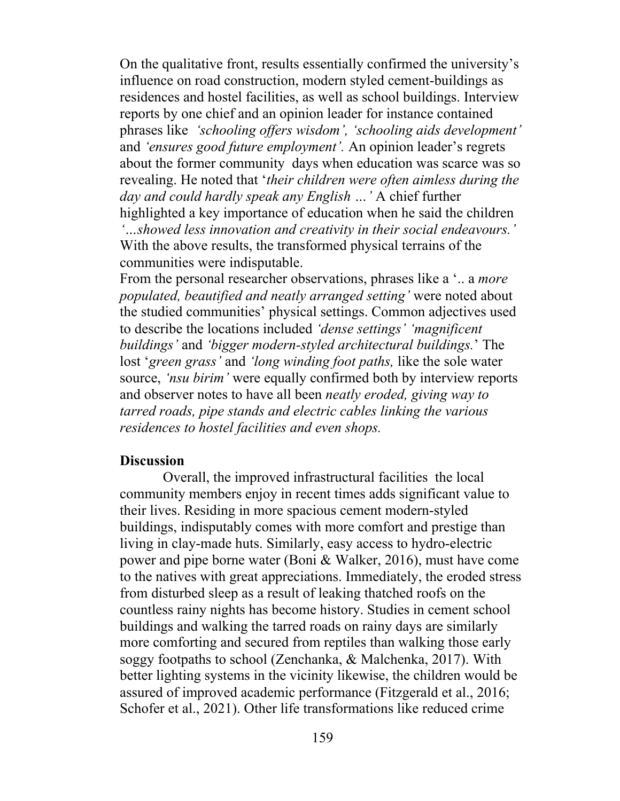On the qualitative front, results essentially confirmed the university's influence on road construction, modern styled cement-buildings as residences and hostel facilities, as well as school buildings. Interview reports by one chief and an opinion leader for instance contained phrases like *'schooling offers wisdom', 'schooling aids development'* and *'ensures good future employment'.* An opinion leader's regrets about the former community days when education was scarce was so revealing. He noted that '*their children were often aimless during the day and could hardly speak any English …'* A chief further highlighted a key importance of education when he said the children *'…showed less innovation and creativity in their social endeavours.'* With the above results, the transformed physical terrains of the communities were indisputable.

From the personal researcher observations, phrases like a '.. a *more populated, beautified and neatly arranged setting'* were noted about the studied communities' physical settings. Common adjectives used to describe the locations included *'dense settings' 'magnificent buildings'* and *'bigger modern-styled architectural buildings.*' The lost '*green grass'* and *'long winding foot paths,* like the sole water source, *'nsu birim'* were equally confirmed both by interview reports and observer notes to have all been *neatly eroded, giving way to tarred roads, pipe stands and electric cables linking the various residences to hostel facilities and even shops.*

## **Discussion**

Overall, the improved infrastructural facilities the local community members enjoy in recent times adds significant value to their lives. Residing in more spacious cement modern-styled buildings, indisputably comes with more comfort and prestige than living in clay-made huts. Similarly, easy access to hydro-electric power and pipe borne water (Boni & Walker, 2016), must have come to the natives with great appreciations. Immediately, the eroded stress from disturbed sleep as a result of leaking thatched roofs on the countless rainy nights has become history. Studies in cement school buildings and walking the tarred roads on rainy days are similarly more comforting and secured from reptiles than walking those early soggy footpaths to school (Zenchanka, & Malchenka, 2017). With better lighting systems in the vicinity likewise, the children would be assured of improved academic performance (Fitzgerald et al., 2016; Schofer et al., 2021). Other life transformations like reduced crime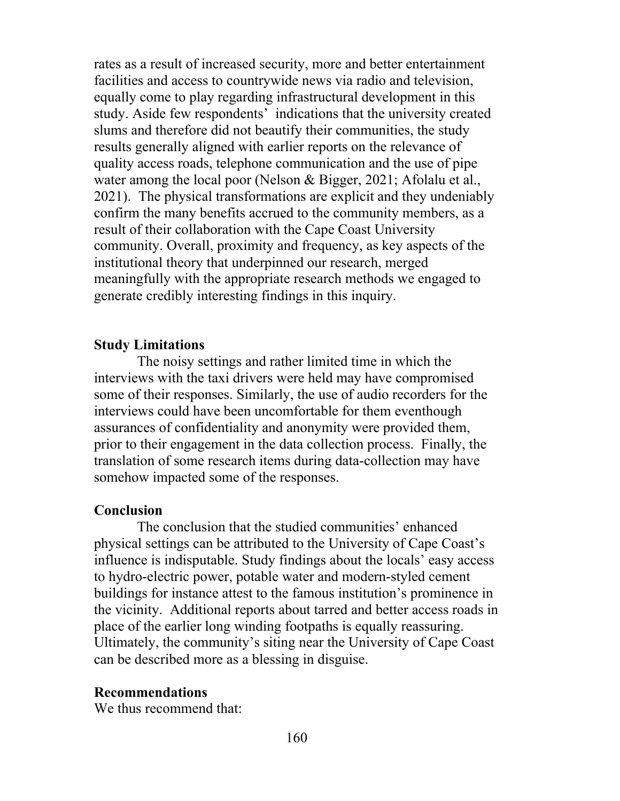rates as a result of increased security, more and better entertainment facilities and access to countrywide news via radio and television, equally come to play regarding infrastructural development in this study. Aside few respondents' indications that the university created slums and therefore did not beautify their communities, the study results generally aligned with earlier reports on the relevance of quality access roads, telephone communication and the use of pipe water among the local poor (Nelson & Bigger, 2021; Afolalu et al., 2021). The physical transformations are explicit and they undeniably confirm the many benefits accrued to the community members, as a result of their collaboration with the Cape Coast University community. Overall, proximity and frequency, as key aspects of the institutional theory that underpinned our research, merged meaningfully with the appropriate research methods we engaged to generate credibly interesting findings in this inquiry.

### **Study Limitations**

The noisy settings and rather limited time in which the interviews with the taxi drivers were held may have compromised some of their responses. Similarly, the use of audio recorders for the interviews could have been uncomfortable for them eventhough assurances of confidentiality and anonymity were provided them, prior to their engagement in the data collection process. Finally, the translation of some research items during data-collection may have somehow impacted some of the responses.

## **Conclusion**

The conclusion that the studied communities' enhanced physical settings can be attributed to the University of Cape Coast's influence is indisputable. Study findings about the locals' easy access to hydro-electric power, potable water and modern-styled cement buildings for instance attest to the famous institution's prominence in the vicinity. Additional reports about tarred and better access roads in place of the earlier long winding footpaths is equally reassuring. Ultimately, the community's siting near the University of Cape Coast can be described more as a blessing in disguise.

## **Recommendations**

We thus recommend that: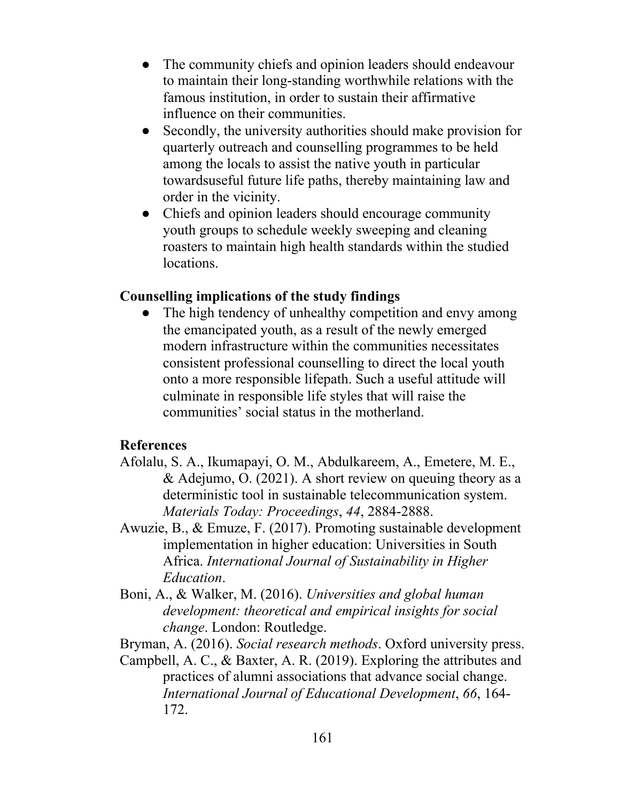- The community chiefs and opinion leaders should endeavour to maintain their long-standing worthwhile relations with the famous institution, in order to sustain their affirmative influence on their communities.
- Secondly, the university authorities should make provision for quarterly outreach and counselling programmes to be held among the locals to assist the native youth in particular towardsuseful future life paths, thereby maintaining law and order in the vicinity.
- Chiefs and opinion leaders should encourage community youth groups to schedule weekly sweeping and cleaning roasters to maintain high health standards within the studied locations.

# **Counselling implications of the study findings**

• The high tendency of unhealthy competition and envy among the emancipated youth, as a result of the newly emerged modern infrastructure within the communities necessitates consistent professional counselling to direct the local youth onto a more responsible lifepath. Such a useful attitude will culminate in responsible life styles that will raise the communities' social status in the motherland.

# **References**

- Afolalu, S. A., Ikumapayi, O. M., Abdulkareem, A., Emetere, M. E., & Adejumo, O. (2021). A short review on queuing theory as a deterministic tool in sustainable telecommunication system. *Materials Today: Proceedings*, *44*, 2884-2888.
- Awuzie, B., & Emuze, F. (2017). Promoting sustainable development implementation in higher education: Universities in South Africa. *International Journal of Sustainability in Higher Education*.
- Boni, A., & Walker, M. (2016). *Universities and global human development: theoretical and empirical insights for social change*. London: Routledge.

Bryman, A. (2016). *Social research methods*. Oxford university press.

Campbell, A. C., & Baxter, A. R. (2019). Exploring the attributes and practices of alumni associations that advance social change. *International Journal of Educational Development*, *66*, 164- 172.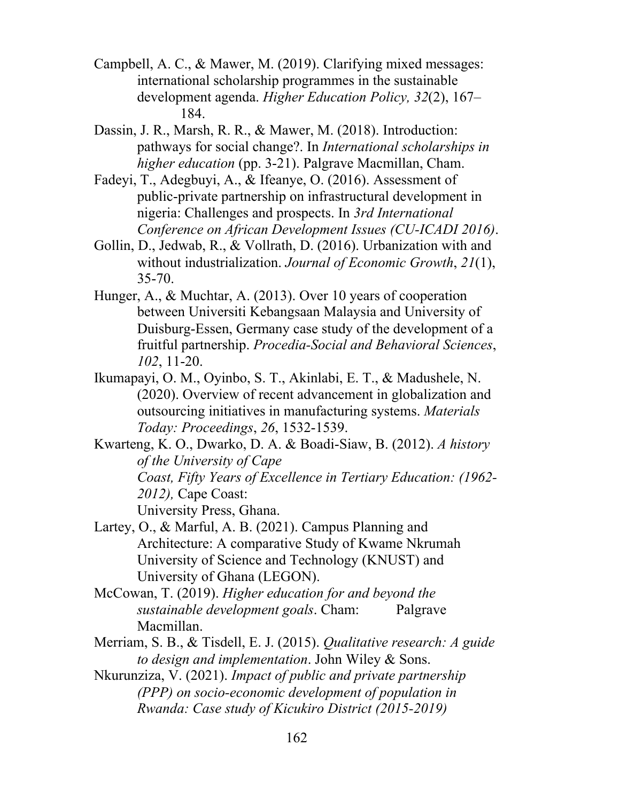- Campbell, A. C., & Mawer, M. (2019). Clarifying mixed messages: international scholarship programmes in the sustainable development agenda. *Higher Education Policy, 32*(2), 167– 184.
- Dassin, J. R., Marsh, R. R., & Mawer, M. (2018). Introduction: pathways for social change?. In *International scholarships in higher education* (pp. 3-21). Palgrave Macmillan, Cham.
- Fadeyi, T., Adegbuyi, A., & Ifeanye, O. (2016). Assessment of public-private partnership on infrastructural development in nigeria: Challenges and prospects. In *3rd International Conference on African Development Issues (CU-ICADI 2016)*.
- Gollin, D., Jedwab, R., & Vollrath, D. (2016). Urbanization with and without industrialization. *Journal of Economic Growth*, *21*(1), 35-70.
- Hunger, A., & Muchtar, A. (2013). Over 10 years of cooperation between Universiti Kebangsaan Malaysia and University of Duisburg-Essen, Germany case study of the development of a fruitful partnership. *Procedia-Social and Behavioral Sciences*, *102*, 11-20.
- Ikumapayi, O. M., Oyinbo, S. T., Akinlabi, E. T., & Madushele, N. (2020). Overview of recent advancement in globalization and outsourcing initiatives in manufacturing systems. *Materials Today: Proceedings*, *26*, 1532-1539.

Kwarteng, K. O., Dwarko, D. A. & Boadi-Siaw, B. (2012). *A history of the University of Cape Coast, Fifty Years of Excellence in Tertiary Education: (1962- 2012),* Cape Coast: University Press, Ghana.

- Lartey, O., & Marful, A. B. (2021). Campus Planning and Architecture: A comparative Study of Kwame Nkrumah University of Science and Technology (KNUST) and University of Ghana (LEGON).
- McCowan, T. (2019). *Higher education for and beyond the sustainable development goals*. Cham: Palgrave Macmillan.
- Merriam, S. B., & Tisdell, E. J. (2015). *Qualitative research: A guide to design and implementation*. John Wiley & Sons.
- Nkurunziza, V. (2021). *Impact of public and private partnership (PPP) on socio-economic development of population in Rwanda: Case study of Kicukiro District (2015-2019)*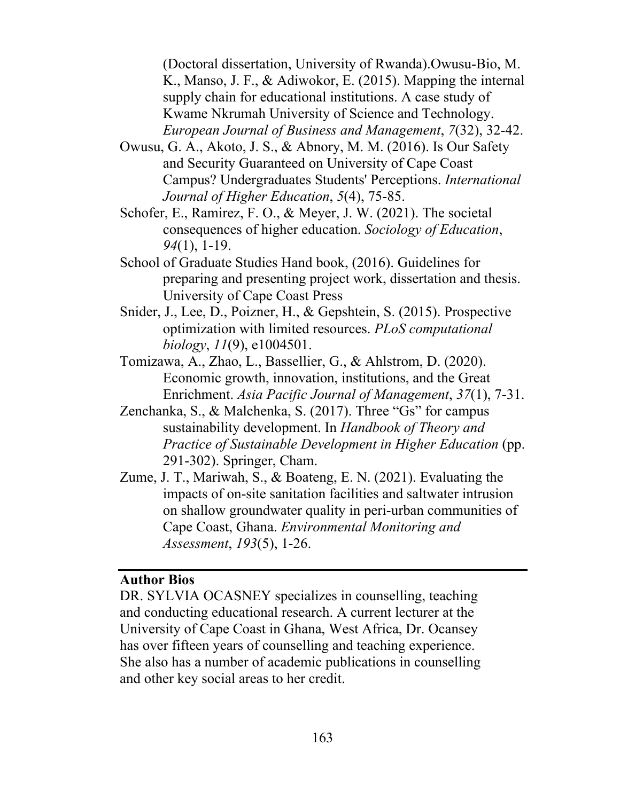(Doctoral dissertation, University of Rwanda).Owusu-Bio, M. K., Manso, J. F., & Adiwokor, E. (2015). Mapping the internal supply chain for educational institutions. A case study of Kwame Nkrumah University of Science and Technology. *European Journal of Business and Management*, *7*(32), 32-42.

- Owusu, G. A., Akoto, J. S., & Abnory, M. M. (2016). Is Our Safety and Security Guaranteed on University of Cape Coast Campus? Undergraduates Students' Perceptions. *International Journal of Higher Education*, *5*(4), 75-85.
- Schofer, E., Ramirez, F. O., & Meyer, J. W. (2021). The societal consequences of higher education. *Sociology of Education*, *94*(1), 1-19.
- School of Graduate Studies Hand book, (2016). Guidelines for preparing and presenting project work, dissertation and thesis. University of Cape Coast Press
- Snider, J., Lee, D., Poizner, H., & Gepshtein, S. (2015). Prospective optimization with limited resources. *PLoS computational biology*, *11*(9), e1004501.
- Tomizawa, A., Zhao, L., Bassellier, G., & Ahlstrom, D. (2020). Economic growth, innovation, institutions, and the Great Enrichment. *Asia Pacific Journal of Management*, *37*(1), 7-31.
- Zenchanka, S., & Malchenka, S. (2017). Three "Gs" for campus sustainability development. In *Handbook of Theory and Practice of Sustainable Development in Higher Education* (pp. 291-302). Springer, Cham.
- Zume, J. T., Mariwah, S., & Boateng, E. N. (2021). Evaluating the impacts of on-site sanitation facilities and saltwater intrusion on shallow groundwater quality in peri-urban communities of Cape Coast, Ghana. *Environmental Monitoring and Assessment*, *193*(5), 1-26.

## **Author Bios**

DR. SYLVIA OCASNEY specializes in counselling, teaching and conducting educational research. A current lecturer at the University of Cape Coast in Ghana, West Africa, Dr. Ocansey has over fifteen years of counselling and teaching experience. She also has a number of academic publications in counselling and other key social areas to her credit.